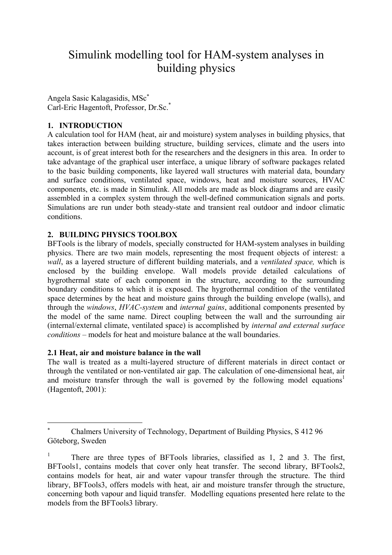# Simulink modelling tool for HAM-system analyses in building physics

Angela Sasic Kalagasidis, MSc[∗](#page-0-0) Carl-Eric Hagentoft, Professor, Dr.Sc.\*

# **1. INTRODUCTION**

A calculation tool for HAM (heat, air and moisture) system analyses in building physics, that takes interaction between building structure, building services, climate and the users into account, is of great interest both for the researchers and the designers in this area. In order to take advantage of the graphical user interface, a unique library of software packages related to the basic building components, like layered wall structures with material data, boundary and surface conditions, ventilated space, windows, heat and moisture sources, HVAC components, etc. is made in Simulink. All models are made as block diagrams and are easily assembled in a complex system through the well-defined communication signals and ports. Simulations are run under both steady-state and transient real outdoor and indoor climatic conditions.

## **2. BUILDING PHYSICS TOOLBOX**

BFTools is the library of models, specially constructed for HAM-system analyses in building physics. There are two main models, representing the most frequent objects of interest: a *wall*, as a layered structure of different building materials, and a *ventilated space,* which is enclosed by the building envelope. Wall models provide detailed calculations of hygrothermal state of each component in the structure, according to the surrounding boundary conditions to which it is exposed. The hygrothermal condition of the ventilated space determines by the heat and moisture gains through the building envelope (walls), and through the *windows*, *HVAC-system* and *internal gains*, additional components presented by the model of the same name. Direct coupling between the wall and the surrounding air (internal/external climate, ventilated space) is accomplished by *internal and external surface conditions* – models for heat and moisture balance at the wall boundaries.

#### **2.1 Heat, air and moisture balance in the wall**

 $\overline{a}$ 

The wall is treated as a multi-layered structure of different materials in direct contact or through the ventilated or non-ventilated air gap. The calculation of one-dimensional heat, air and moisture transfer through the wall is governed by the following model equations<sup>1</sup> (Hagentoft, 2001):

<span id="page-0-0"></span><sup>∗</sup> Chalmers University of Technology, Department of Building Physics, S 412 96 Göteborg, Sweden

<span id="page-0-1"></span><sup>1</sup> There are three types of BFTools libraries, classified as 1, 2 and 3. The first, BFTools1, contains models that cover only heat transfer. The second library, BFTools2, contains models for heat, air and water vapour transfer through the structure. The third library, BFTools3, offers models with heat, air and moisture transfer through the structure, concerning both vapour and liquid transfer. Modelling equations presented here relate to the models from the BFTools3 library.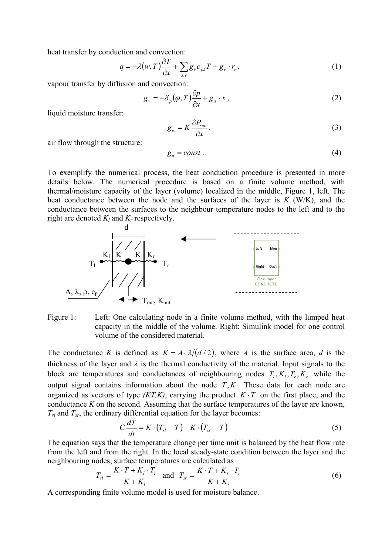heat transfer by conduction and convection:

$$
q = -\lambda(w, T)\frac{\partial T}{\partial x} + \sum_{a,v} g_k c_{pk} T + g_v \cdot r_e, \qquad (1)
$$

vapour transfer by diffusion and convection:

$$
g_{v} = -\delta_{p}(\varphi, T)\frac{\partial p}{\partial x} + g_{a} \cdot x , \qquad (2)
$$

liquid moisture transfer:

$$
g_w = K \frac{\partial P_{suc}}{\partial x},\tag{3}
$$

air flow through the structure:

$$
g_a = const.
$$
 (4)

To exemplify the numerical process, the heat conduction procedure is presented in more details below. The numerical procedure is based on a finite volume method, with thermal/moisture capacity of the layer (volume) localized in the middle, Figure 1, left. The heat conductance between the node and the surfaces of the layer is *K* (W/K), and the conductance between the surfaces to the neighbour temperature nodes to the left and to the right are denoted  $K_l$  and  $K_r$  respectively.





The conductance *K* is defined as  $K = A \cdot \lambda/(d/2)$ , where *A* is the surface area, *d* is the thickness of the layer and  $\lambda$  is the thermal conductivity of the material. Input signals to the block are temperatures and conductances of neighbouring nodes  $T_i, K_i, T_r, K_r$  while the output signal contains information about the node  $T, K$ . These data for each node are organized as vectors of type  $(KT,K)$ , carrying the product  $K \cdot T$  on the first place, and the conductance *K* on the second. Assuming that the surface temperatures of the layer are known,  $T_{sl}$  and  $T_{sr}$ , the ordinary differential equation for the layer becomes:

$$
C\frac{dT}{dt} = K \cdot (T_{sl} - T) + K \cdot (T_{sr} - T) \tag{5}
$$

The equation says that the temperature change per time unit is balanced by the heat flow rate from the left and from the right. In the local steady-state condition between the layer and the neighbouring nodes, surface temperatures are calculated as

$$
T_{sl} = \frac{K \cdot T + K_l \cdot T_l}{K + K_l} \quad \text{and} \quad T_{sr} = \frac{K \cdot T + K_r \cdot T_r}{K + K_r} \tag{6}
$$

A corresponding finite volume model is used for moisture balance.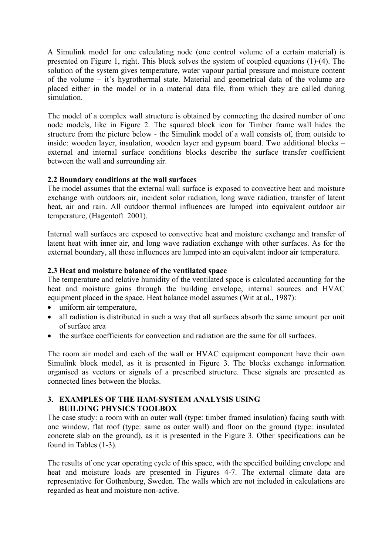A Simulink model for one calculating node (one control volume of a certain material) is presented on Figure 1, right. This block solves the system of coupled equations (1)-(4). The solution of the system gives temperature, water vapour partial pressure and moisture content of the volume – it's hygrothermal state. Material and geometrical data of the volume are placed either in the model or in a material data file, from which they are called during simulation.

The model of a complex wall structure is obtained by connecting the desired number of one node models, like in Figure 2. The squared block icon for Timber frame wall hides the structure from the picture below - the Simulink model of a wall consists of, from outside to inside: wooden layer, insulation, wooden layer and gypsum board. Two additional blocks – external and internal surface conditions blocks describe the surface transfer coefficient between the wall and surrounding air.

# **2.2 Boundary conditions at the wall surfaces**

The model assumes that the external wall surface is exposed to convective heat and moisture exchange with outdoors air, incident solar radiation, long wave radiation, transfer of latent heat, air and rain. All outdoor thermal influences are lumped into equivalent outdoor air temperature, (Hagentoft 2001).

Internal wall surfaces are exposed to convective heat and moisture exchange and transfer of latent heat with inner air, and long wave radiation exchange with other surfaces. As for the external boundary, all these influences are lumped into an equivalent indoor air temperature.

## **2.3 Heat and moisture balance of the ventilated space**

The temperature and relative humidity of the ventilated space is calculated accounting for the heat and moisture gains through the building envelope, internal sources and HVAC equipment placed in the space. Heat balance model assumes (Wit at al., 1987):

- uniform air temperature,
- all radiation is distributed in such a way that all surfaces absorb the same amount per unit of surface area
- the surface coefficients for convection and radiation are the same for all surfaces.

The room air model and each of the wall or HVAC equipment component have their own Simulink block model, as it is presented in Figure 3. The blocks exchange information organised as vectors or signals of a prescribed structure. These signals are presented as connected lines between the blocks.

#### **3. EXAMPLES OF THE HAM-SYSTEM ANALYSIS USING BUILDING PHYSICS TOOLBOX**

The case study: a room with an outer wall (type: timber framed insulation) facing south with one window, flat roof (type: same as outer wall) and floor on the ground (type: insulated concrete slab on the ground), as it is presented in the Figure 3. Other specifications can be found in Tables (1-3).

The results of one year operating cycle of this space, with the specified building envelope and heat and moisture loads are presented in Figures 4-7. The external climate data are representative for Gothenburg, Sweden. The walls which are not included in calculations are regarded as heat and moisture non-active.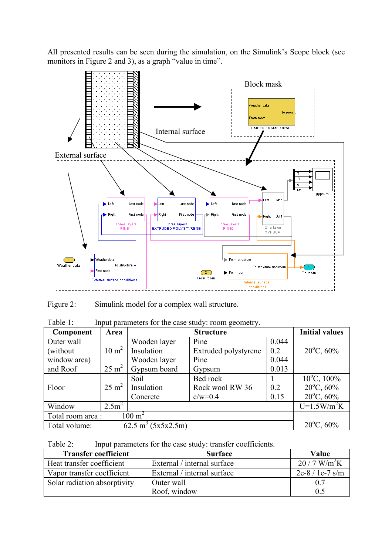All presented results can be seen during the simulation, on the Simulink's Scope block (see monitors in Figure 2 and 3), as a graph "value in time".



Figure 2: Simulink model for a complex wall structure.

| Table 1:<br>Input parameters for the case study: room geometry. |                   |                  |                      |       |                         |
|-----------------------------------------------------------------|-------------------|------------------|----------------------|-------|-------------------------|
| Component                                                       | Area              | <b>Structure</b> |                      |       | <b>Initial values</b>   |
| Outer wall                                                      |                   | Wooden layer     | Pine                 | 0.044 |                         |
| (without)                                                       | $10 \text{ m}^2$  | Insulation       | Extruded polystyrene | 0.2   | $20^{\circ}$ C, 60%     |
| window area)                                                    |                   | Wooden layer     | Pine                 | 0.044 |                         |
| and Roof                                                        | $25 \text{ m}^2$  | Gypsum board     | Gypsum               | 0.013 |                         |
|                                                                 |                   | Soil             | Bed rock             |       | $10^{\circ}$ C, $100\%$ |
| Floor                                                           | $25 \text{ m}^2$  | Insulation       | Rock wool RW 36      | 0.2   | $20^{\circ}$ C, 60%     |
|                                                                 |                   | Concrete         | $c/w=0.4$            | 0.15  | $20^{\circ}$ C, 60%     |
| Window                                                          | 2.5m <sup>2</sup> |                  |                      |       | $U=1.5W/m^2K$           |
| Total room area :<br>$100~{\rm m}^2$                            |                   |                  |                      |       |                         |

| Table 2: |  | Input parameters for the case study: transfer coefficients. |
|----------|--|-------------------------------------------------------------|
|          |  |                                                             |

 $(5x5x2.5m)$ 

Total volume:

| <b>Transfer coefficient</b>  | <b>Surface</b>              | Value                     |
|------------------------------|-----------------------------|---------------------------|
| Heat transfer coefficient    | External / internal surface | $20/7$ W/m <sup>2</sup> K |
| Vapor transfer coefficient   | External / internal surface | $2e-8/1e-7$ s/m           |
| Solar radiation absorptivity | Outer wall                  | 0.7                       |
|                              | Roof, window                | 0.5                       |

 $20^{\circ}$ C, 60%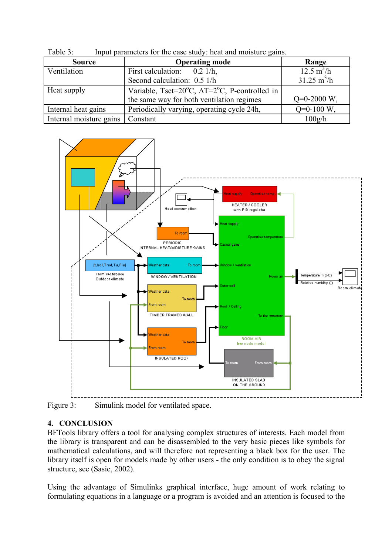| <b>Source</b>           | <b>Operating mode</b>                                                      | Range                        |
|-------------------------|----------------------------------------------------------------------------|------------------------------|
| Ventilation             | First calculation: $0.2$ 1/h,                                              | $12.5 \text{ m}^3/\text{h}$  |
|                         | Second calculation: 0.5 1/h                                                | $31.25 \text{ m}^3/\text{h}$ |
| Heat supply             | Variable, Tset=20 $^{\circ}$ C, $\Delta$ T=2 $^{\circ}$ C, P-controlled in |                              |
|                         | the same way for both ventilation regimes                                  | $Q=0-2000$ W.                |
| Internal heat gains     | Periodically varying, operating cycle 24h,                                 |                              |
| Internal moisture gains | Constant                                                                   | 100g/h                       |

Table 3: Input parameters for the case study: heat and moisture gains.



Figure 3: Simulink model for ventilated space.

# **4. CONCLUSION**

BFTools library offers a tool for analysing complex structures of interests. Each model from the library is transparent and can be disassembled to the very basic pieces like symbols for mathematical calculations, and will therefore not representing a black box for the user. The library itself is open for models made by other users - the only condition is to obey the signal structure, see (Sasic, 2002).

Using the advantage of Simulinks graphical interface, huge amount of work relating to formulating equations in a language or a program is avoided and an attention is focused to the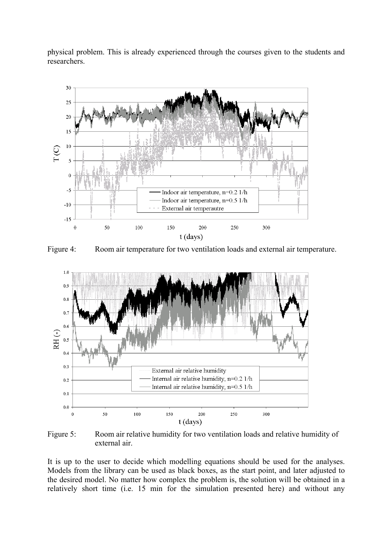physical problem. This is already experienced through the courses given to the students and researchers.



Figure 4: Room air temperature for two ventilation loads and external air temperature.



Figure 5: Room air relative humidity for two ventilation loads and relative humidity of external air.

It is up to the user to decide which modelling equations should be used for the analyses. Models from the library can be used as black boxes, as the start point, and later adjusted to the desired model. No matter how complex the problem is, the solution will be obtained in a relatively short time (i.e. 15 min for the simulation presented here) and without any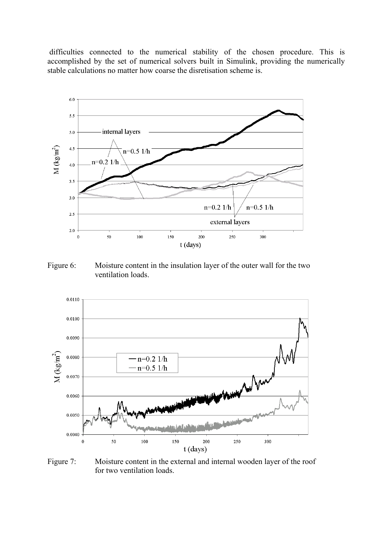difficulties connected to the numerical stability of the chosen procedure. This is accomplished by the set of numerical solvers built in Simulink, providing the numerically stable calculations no matter how coarse the disretisation scheme is.



Figure 6: Moisture content in the insulation layer of the outer wall for the two ventilation loads.



Figure 7: Moisture content in the external and internal wooden layer of the roof for two ventilation loads.